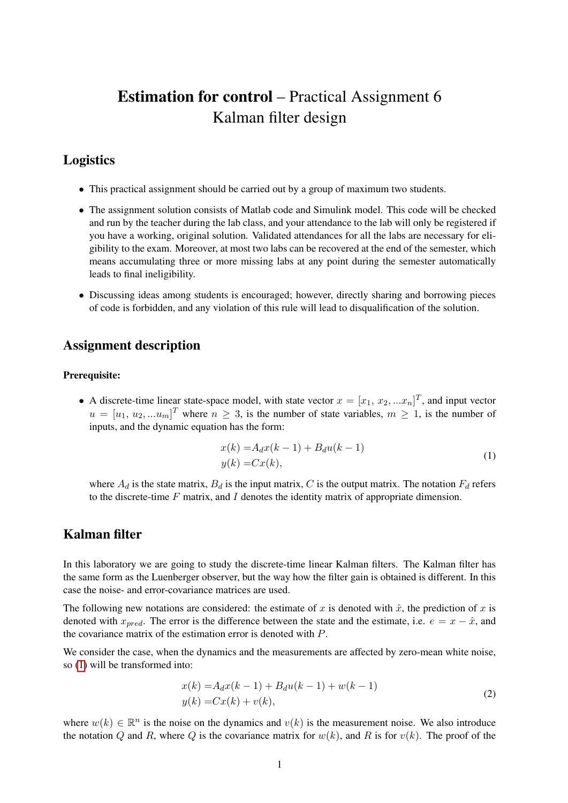# Estimation for control – Practical Assignment 6 Kalman filter design

## Logistics

- This practical assignment should be carried out by a group of maximum two students.
- The assignment solution consists of Matlab code and Simulink model. This code will be checked and run by the teacher during the lab class, and your attendance to the lab will only be registered if you have a working, original solution. Validated attendances for all the labs are necessary for eligibility to the exam. Moreover, at most two labs can be recovered at the end of the semester, which means accumulating three or more missing labs at any point during the semester automatically leads to final ineligibility.
- Discussing ideas among students is encouraged; however, directly sharing and borrowing pieces of code is forbidden, and any violation of this rule will lead to disqualification of the solution.

### Assignment description

#### Prerequisite:

• A discrete-time linear state-space model, with state vector  $x = [x_1, x_2, ... x_n]^T$ , and input vector  $u = [u_1, u_2, ... u_m]^T$  where  $n \geq 3$ , is the number of state variables,  $m \geq 1$ , is the number of inputs, and the dynamic equation has the form:

<span id="page-0-0"></span>
$$
x(k) = A_d x(k-1) + B_d u(k-1)
$$
  
\n
$$
y(k) = Cx(k),
$$
\n(1)

where  $A_d$  is the state matrix,  $B_d$  is the input matrix, C is the output matrix. The notation  $F_d$  refers to the discrete-time  $F$  matrix, and  $I$  denotes the identity matrix of appropriate dimension.

## Kalman filter

In this laboratory we are going to study the discrete-time linear Kalman filters. The Kalman filter has the same form as the Luenberger observer, but the way how the filter gain is obtained is different. In this case the noise- and error-covariance matrices are used.

The following new notations are considered: the estimate of x is denoted with  $\hat{x}$ , the prediction of x is denoted with  $x_{pred}$ . The error is the difference between the state and the estimate, i.e.  $e = x - \hat{x}$ , and the covariance matrix of the estimation error is denoted with P.

We consider the case, when the dynamics and the measurements are affected by zero-mean white noise, so [\(1\)](#page-0-0) will be transformed into:

<span id="page-0-1"></span>
$$
x(k) = A_d x(k-1) + B_d u(k-1) + w(k-1)
$$
  
\n
$$
y(k) = Cx(k) + v(k),
$$
\n(2)

where  $w(k) \in \mathbb{R}^n$  is the noise on the dynamics and  $v(k)$  is the measurement noise. We also introduce the notation Q and R, where Q is the covariance matrix for  $w(k)$ , and R is for  $v(k)$ . The proof of the